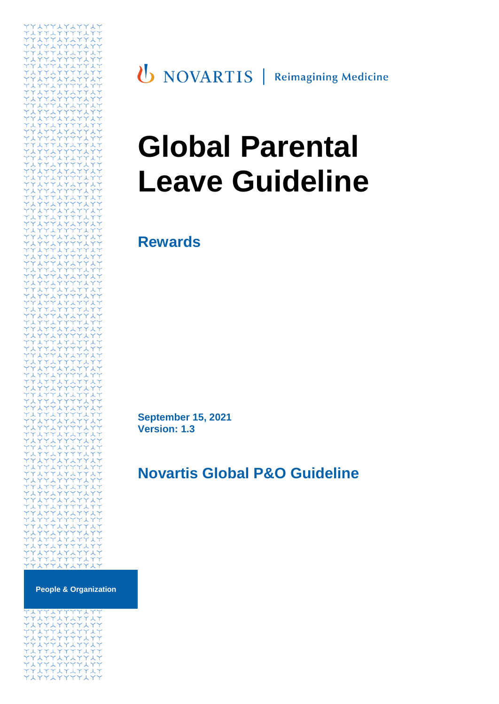

**U** NOVARTIS | Reimagining Medicine

# **Global Parental Leave Guideline**

**Rewards**

**September 15, 2021 Version: 1.3**

# **Novartis Global P&O Guideline**

**People & Organization**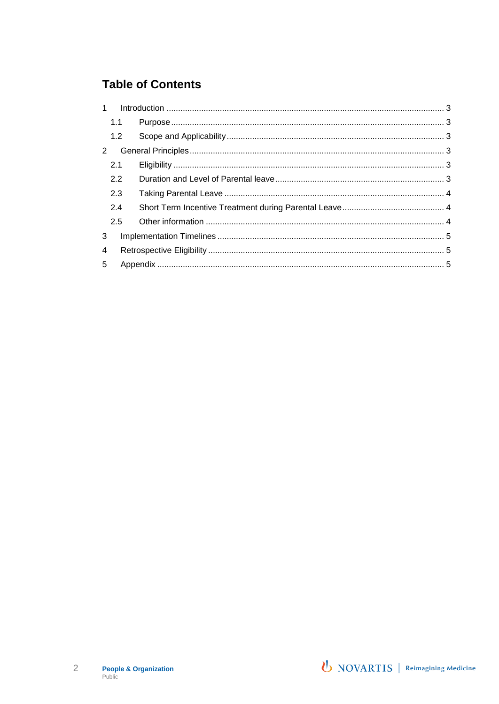## **Table of Contents**

| 1 |     |  |  |
|---|-----|--|--|
|   | 1.1 |  |  |
|   | 1.2 |  |  |
| 2 |     |  |  |
|   | 2.1 |  |  |
|   | 2.2 |  |  |
|   | 2.3 |  |  |
|   | 2.4 |  |  |
|   | 2.5 |  |  |
| 3 |     |  |  |
| 4 |     |  |  |
| 5 |     |  |  |

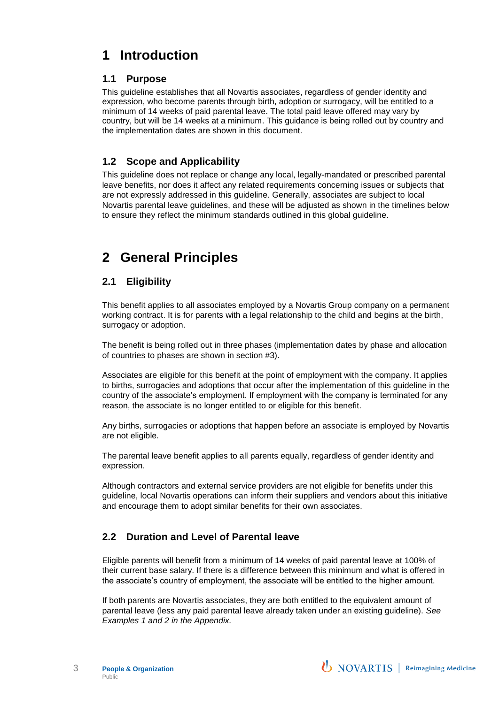# <span id="page-2-0"></span>**1 Introduction**

## <span id="page-2-1"></span>**1.1 Purpose**

This guideline establishes that all Novartis associates, regardless of gender identity and expression, who become parents through birth, adoption or surrogacy, will be entitled to a minimum of 14 weeks of paid parental leave. The total paid leave offered may vary by country, but will be 14 weeks at a minimum. This guidance is being rolled out by country and the implementation dates are shown in this document.

## <span id="page-2-2"></span>**1.2 Scope and Applicability**

This guideline does not replace or change any local, legally-mandated or prescribed parental leave benefits, nor does it affect any related requirements concerning issues or subjects that are not expressly addressed in this guideline. Generally, associates are subject to local Novartis parental leave guidelines, and these will be adjusted as shown in the timelines below to ensure they reflect the minimum standards outlined in this global guideline.

# <span id="page-2-3"></span>**2 General Principles**

## <span id="page-2-4"></span>**2.1 Eligibility**

This benefit applies to all associates employed by a Novartis Group company on a permanent working contract. It is for parents with a legal relationship to the child and begins at the birth, surrogacy or adoption.

The benefit is being rolled out in three phases (implementation dates by phase and allocation of countries to phases are shown in section #3).

Associates are eligible for this benefit at the point of employment with the company. It applies to births, surrogacies and adoptions that occur after the implementation of this guideline in the country of the associate's employment. If employment with the company is terminated for any reason, the associate is no longer entitled to or eligible for this benefit.

Any births, surrogacies or adoptions that happen before an associate is employed by Novartis are not eligible.

The parental leave benefit applies to all parents equally, regardless of gender identity and expression.

Although contractors and external service providers are not eligible for benefits under this guideline, local Novartis operations can inform their suppliers and vendors about this initiative and encourage them to adopt similar benefits for their own associates.

## <span id="page-2-5"></span>**2.2 Duration and Level of Parental leave**

Eligible parents will benefit from a minimum of 14 weeks of paid parental leave at 100% of their current base salary. If there is a difference between this minimum and what is offered in the associate's country of employment, the associate will be entitled to the higher amount.

If both parents are Novartis associates, they are both entitled to the equivalent amount of parental leave (less any paid parental leave already taken under an existing guideline). *See Examples 1 and 2 in the Appendix.*

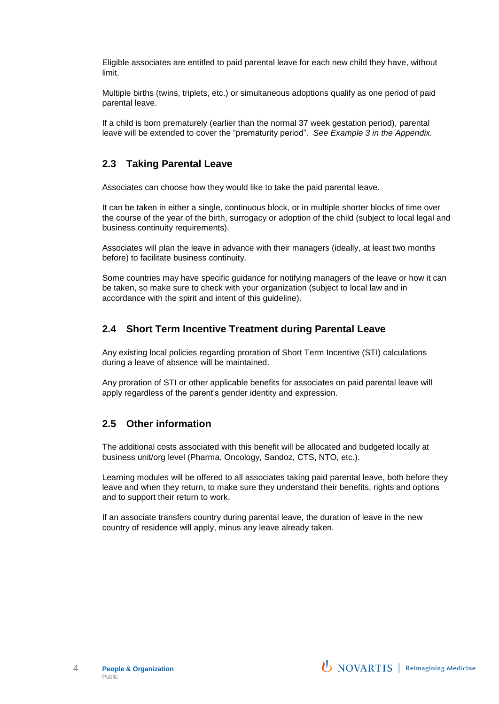Eligible associates are entitled to paid parental leave for each new child they have, without limit.

Multiple births (twins, triplets, etc.) or simultaneous adoptions qualify as one period of paid parental leave.

If a child is born prematurely (earlier than the normal 37 week gestation period), parental leave will be extended to cover the "prematurity period". *See Example 3 in the Appendix.*

#### <span id="page-3-0"></span>**2.3 Taking Parental Leave**

Associates can choose how they would like to take the paid parental leave.

It can be taken in either a single, continuous block, or in multiple shorter blocks of time over the course of the year of the birth, surrogacy or adoption of the child (subject to local legal and business continuity requirements).

Associates will plan the leave in advance with their managers (ideally, at least two months before) to facilitate business continuity.

Some countries may have specific guidance for notifying managers of the leave or how it can be taken, so make sure to check with your organization (subject to local law and in accordance with the spirit and intent of this guideline).

### <span id="page-3-1"></span>**2.4 Short Term Incentive Treatment during Parental Leave**

Any existing local policies regarding proration of Short Term Incentive (STI) calculations during a leave of absence will be maintained.

Any proration of STI or other applicable benefits for associates on paid parental leave will apply regardless of the parent's gender identity and expression.

#### <span id="page-3-2"></span>**2.5 Other information**

The additional costs associated with this benefit will be allocated and budgeted locally at business unit/org level (Pharma, Oncology, Sandoz, CTS, NTO, etc.).

Learning modules will be offered to all associates taking paid parental leave, both before they leave and when they return, to make sure they understand their benefits, rights and options and to support their return to work.

If an associate transfers country during parental leave, the duration of leave in the new country of residence will apply, minus any leave already taken.

**U** NOVARTIS | Reimagining Medicine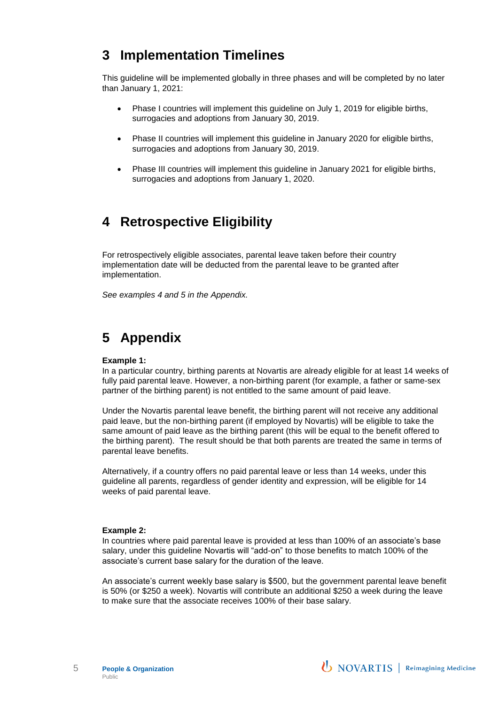## <span id="page-4-0"></span>**3 Implementation Timelines**

This guideline will be implemented globally in three phases and will be completed by no later than January 1, 2021:

- Phase I countries will implement this guideline on July 1, 2019 for eligible births, surrogacies and adoptions from January 30, 2019.
- Phase II countries will implement this guideline in January 2020 for eligible births, surrogacies and adoptions from January 30, 2019.
- Phase III countries will implement this guideline in January 2021 for eligible births, surrogacies and adoptions from January 1, 2020.

## <span id="page-4-1"></span>**4 Retrospective Eligibility**

For retrospectively eligible associates, parental leave taken before their country implementation date will be deducted from the parental leave to be granted after implementation.

*See examples 4 and 5 in the Appendix.*

# <span id="page-4-2"></span>**5 Appendix**

#### **Example 1:**

In a particular country, birthing parents at Novartis are already eligible for at least 14 weeks of fully paid parental leave. However, a non-birthing parent (for example, a father or same-sex partner of the birthing parent) is not entitled to the same amount of paid leave.

Under the Novartis parental leave benefit, the birthing parent will not receive any additional paid leave, but the non-birthing parent (if employed by Novartis) will be eligible to take the same amount of paid leave as the birthing parent (this will be equal to the benefit offered to the birthing parent). The result should be that both parents are treated the same in terms of parental leave benefits.

Alternatively, if a country offers no paid parental leave or less than 14 weeks, under this guideline all parents, regardless of gender identity and expression, will be eligible for 14 weeks of paid parental leave.

#### **Example 2:**

In countries where paid parental leave is provided at less than 100% of an associate's base salary, under this guideline Novartis will "add-on" to those benefits to match 100% of the associate's current base salary for the duration of the leave.

An associate's current weekly base salary is \$500, but the government parental leave benefit is 50% (or \$250 a week). Novartis will contribute an additional \$250 a week during the leave to make sure that the associate receives 100% of their base salary.